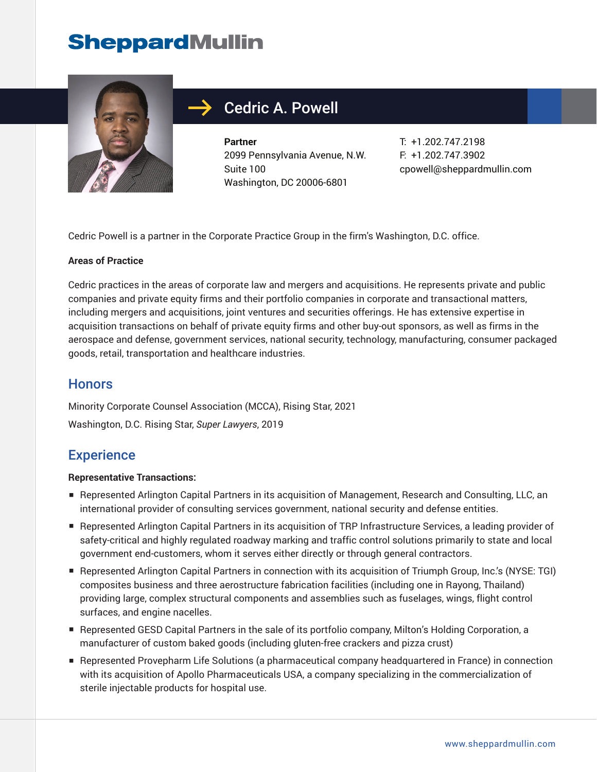

### Cedric A. Powell

**Partner** 2099 Pennsylvania Avenue, N.W. Suite 100 Washington, DC 20006-6801

T: +1.202.747.2198 F: +1.202.747.3902 cpowell@sheppardmullin.com

Cedric Powell is a partner in the Corporate Practice Group in the firm's Washington, D.C. office.

#### **Areas of Practice**

Cedric practices in the areas of corporate law and mergers and acquisitions. He represents private and public companies and private equity firms and their portfolio companies in corporate and transactional matters, including mergers and acquisitions, joint ventures and securities offerings. He has extensive expertise in acquisition transactions on behalf of private equity firms and other buy-out sponsors, as well as firms in the aerospace and defense, government services, national security, technology, manufacturing, consumer packaged goods, retail, transportation and healthcare industries.

#### **Honors**

Minority Corporate Counsel Association (MCCA), Rising Star, 2021 Washington, D.C. Rising Star, *Super Lawyers*, 2019

#### **Experience**

#### **Representative Transactions:**

- Represented Arlington Capital Partners in its acquisition of Management, Research and Consulting, LLC, an international provider of consulting services government, national security and defense entities.
- Represented Arlington Capital Partners in its acquisition of TRP Infrastructure Services, a leading provider of safety-critical and highly regulated roadway marking and traffic control solutions primarily to state and local government end-customers, whom it serves either directly or through general contractors.
- Represented Arlington Capital Partners in connection with its acquisition of Triumph Group, Inc.'s (NYSE: TGI) composites business and three aerostructure fabrication facilities (including one in Rayong, Thailand) providing large, complex structural components and assemblies such as fuselages, wings, flight control surfaces, and engine nacelles.
- Represented GESD Capital Partners in the sale of its portfolio company, Milton's Holding Corporation, a manufacturer of custom baked goods (including gluten-free crackers and pizza crust)
- Represented Provepharm Life Solutions (a pharmaceutical company headquartered in France) in connection with its acquisition of Apollo Pharmaceuticals USA, a company specializing in the commercialization of sterile injectable products for hospital use.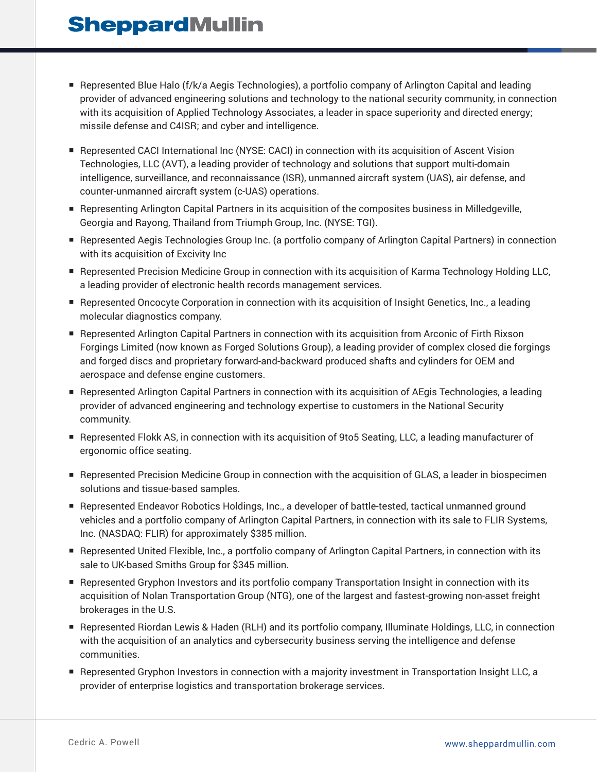- Represented Blue Halo (f/k/a Aegis Technologies), a portfolio company of Arlington Capital and leading provider of advanced engineering solutions and technology to the national security community, in connection with its acquisition of Applied Technology Associates, a leader in space superiority and directed energy; missile defense and C4ISR; and cyber and intelligence.
- Represented CACI International Inc (NYSE: CACI) in connection with its acquisition of Ascent Vision Technologies, LLC (AVT), a leading provider of technology and solutions that support multi-domain intelligence, surveillance, and reconnaissance (ISR), unmanned aircraft system (UAS), air defense, and counter-unmanned aircraft system (c-UAS) operations.
- Representing Arlington Capital Partners in its acquisition of the composites business in Milledgeville, Georgia and Rayong, Thailand from Triumph Group, Inc. (NYSE: TGI).
- Represented Aegis Technologies Group Inc. (a portfolio company of Arlington Capital Partners) in connection with its acquisition of Excivity Inc
- Represented Precision Medicine Group in connection with its acquisition of Karma Technology Holding LLC, a leading provider of electronic health records management services.
- Represented Oncocyte Corporation in connection with its acquisition of Insight Genetics, Inc., a leading molecular diagnostics company.
- Represented Arlington Capital Partners in connection with its acquisition from Arconic of Firth Rixson Forgings Limited (now known as Forged Solutions Group), a leading provider of complex closed die forgings and forged discs and proprietary forward-and-backward produced shafts and cylinders for OEM and aerospace and defense engine customers.
- Represented Arlington Capital Partners in connection with its acquisition of AEgis Technologies, a leading provider of advanced engineering and technology expertise to customers in the National Security community.
- Represented Flokk AS, in connection with its acquisition of 9to5 Seating, LLC, a leading manufacturer of ergonomic office seating.
- Represented Precision Medicine Group in connection with the acquisition of GLAS, a leader in biospecimen solutions and tissue-based samples.
- Represented Endeavor Robotics Holdings, Inc., a developer of battle-tested, tactical unmanned ground vehicles and a portfolio company of Arlington Capital Partners, in connection with its sale to FLIR Systems, Inc. (NASDAQ: FLIR) for approximately \$385 million.
- Represented United Flexible, Inc., a portfolio company of Arlington Capital Partners, in connection with its sale to UK-based Smiths Group for \$345 million.
- Represented Gryphon Investors and its portfolio company Transportation Insight in connection with its acquisition of Nolan Transportation Group (NTG), one of the largest and fastest-growing non-asset freight brokerages in the U.S.
- Represented Riordan Lewis & Haden (RLH) and its portfolio company, Illuminate Holdings, LLC, in connection with the acquisition of an analytics and cybersecurity business serving the intelligence and defense communities.
- Represented Gryphon Investors in connection with a majority investment in Transportation Insight LLC, a provider of enterprise logistics and transportation brokerage services.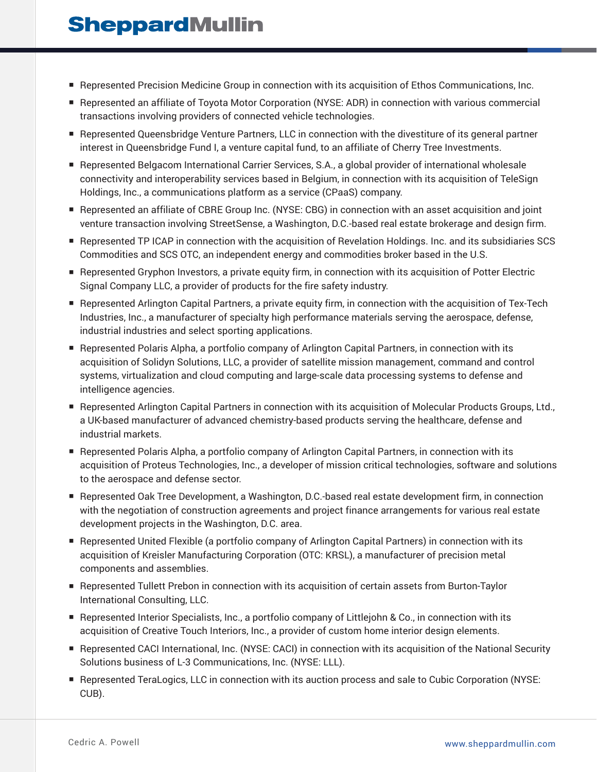- Represented Precision Medicine Group in connection with its acquisition of Ethos Communications, Inc.
- Represented an affiliate of Toyota Motor Corporation (NYSE: ADR) in connection with various commercial transactions involving providers of connected vehicle technologies.
- Represented Queensbridge Venture Partners, LLC in connection with the divestiture of its general partner interest in Queensbridge Fund I, a venture capital fund, to an affiliate of Cherry Tree Investments.
- Represented Belgacom International Carrier Services, S.A., a global provider of international wholesale connectivity and interoperability services based in Belgium, in connection with its acquisition of TeleSign Holdings, Inc., a communications platform as a service (CPaaS) company.
- Represented an affiliate of CBRE Group Inc. (NYSE: CBG) in connection with an asset acquisition and joint venture transaction involving StreetSense, a Washington, D.C.-based real estate brokerage and design firm.
- Represented TP ICAP in connection with the acquisition of Revelation Holdings. Inc. and its subsidiaries SCS Commodities and SCS OTC, an independent energy and commodities broker based in the U.S.
- Represented Gryphon Investors, a private equity firm, in connection with its acquisition of Potter Electric Signal Company LLC, a provider of products for the fire safety industry.
- Represented Arlington Capital Partners, a private equity firm, in connection with the acquisition of Tex-Tech Industries, Inc., a manufacturer of specialty high performance materials serving the aerospace, defense, industrial industries and select sporting applications.
- Represented Polaris Alpha, a portfolio company of Arlington Capital Partners, in connection with its acquisition of Solidyn Solutions, LLC, a provider of satellite mission management, command and control systems, virtualization and cloud computing and large-scale data processing systems to defense and intelligence agencies.
- Represented Arlington Capital Partners in connection with its acquisition of Molecular Products Groups, Ltd., a UK-based manufacturer of advanced chemistry-based products serving the healthcare, defense and industrial markets.
- Represented Polaris Alpha, a portfolio company of Arlington Capital Partners, in connection with its acquisition of Proteus Technologies, Inc., a developer of mission critical technologies, software and solutions to the aerospace and defense sector.
- Represented Oak Tree Development, a Washington, D.C.-based real estate development firm, in connection with the negotiation of construction agreements and project finance arrangements for various real estate development projects in the Washington, D.C. area.
- Represented United Flexible (a portfolio company of Arlington Capital Partners) in connection with its acquisition of Kreisler Manufacturing Corporation (OTC: KRSL), a manufacturer of precision metal components and assemblies.
- Represented Tullett Prebon in connection with its acquisition of certain assets from Burton-Taylor International Consulting, LLC.
- Represented Interior Specialists, Inc., a portfolio company of Littlejohn & Co., in connection with its acquisition of Creative Touch Interiors, Inc., a provider of custom home interior design elements.
- Represented CACI International, Inc. (NYSE: CACI) in connection with its acquisition of the National Security Solutions business of L-3 Communications, Inc. (NYSE: LLL).
- Represented TeraLogics, LLC in connection with its auction process and sale to Cubic Corporation (NYSE: CUB).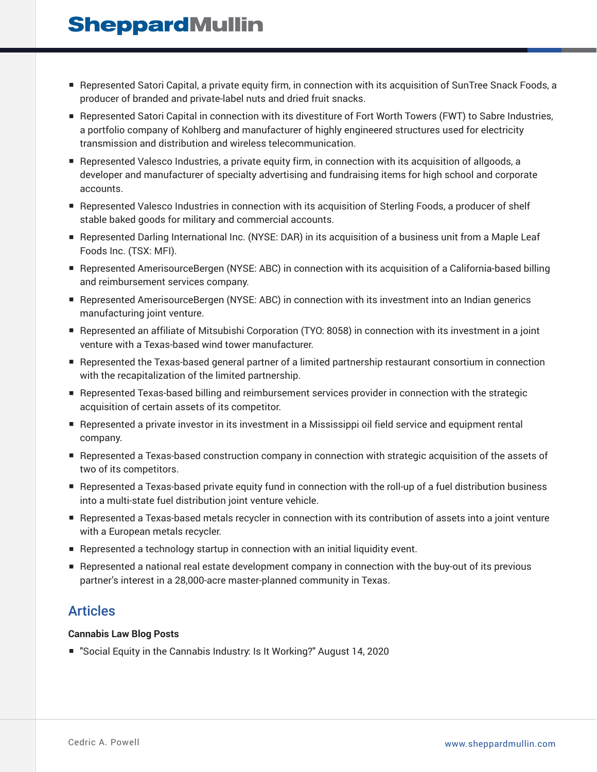- Represented Satori Capital, a private equity firm, in connection with its acquisition of SunTree Snack Foods, a producer of branded and private-label nuts and dried fruit snacks.
- Represented Satori Capital in connection with its divestiture of Fort Worth Towers (FWT) to Sabre Industries, a portfolio company of Kohlberg and manufacturer of highly engineered structures used for electricity transmission and distribution and wireless telecommunication.
- Represented Valesco Industries, a private equity firm, in connection with its acquisition of allgoods, a developer and manufacturer of specialty advertising and fundraising items for high school and corporate accounts.
- Represented Valesco Industries in connection with its acquisition of Sterling Foods, a producer of shelf stable baked goods for military and commercial accounts.
- Represented Darling International Inc. (NYSE: DAR) in its acquisition of a business unit from a Maple Leaf Foods Inc. (TSX: MFI).
- Represented AmerisourceBergen (NYSE: ABC) in connection with its acquisition of a California-based billing and reimbursement services company.
- Represented AmerisourceBergen (NYSE: ABC) in connection with its investment into an Indian generics manufacturing joint venture.
- Represented an affiliate of Mitsubishi Corporation (TYO: 8058) in connection with its investment in a joint venture with a Texas-based wind tower manufacturer.
- Represented the Texas-based general partner of a limited partnership restaurant consortium in connection with the recapitalization of the limited partnership.
- Represented Texas-based billing and reimbursement services provider in connection with the strategic acquisition of certain assets of its competitor.
- Represented a private investor in its investment in a Mississippi oil field service and equipment rental company.
- Represented a Texas-based construction company in connection with strategic acquisition of the assets of two of its competitors.
- Represented a Texas-based private equity fund in connection with the roll-up of a fuel distribution business into a multi-state fuel distribution joint venture vehicle.
- Represented a Texas-based metals recycler in connection with its contribution of assets into a joint venture with a European metals recycler.
- Represented a technology startup in connection with an initial liquidity event.
- Represented a national real estate development company in connection with the buy-out of its previous partner's interest in a 28,000-acre master-planned community in Texas.

### Articles

#### **Cannabis Law Blog Posts**

■ "Social Equity in the Cannabis Industry: Is It Working?" August 14, 2020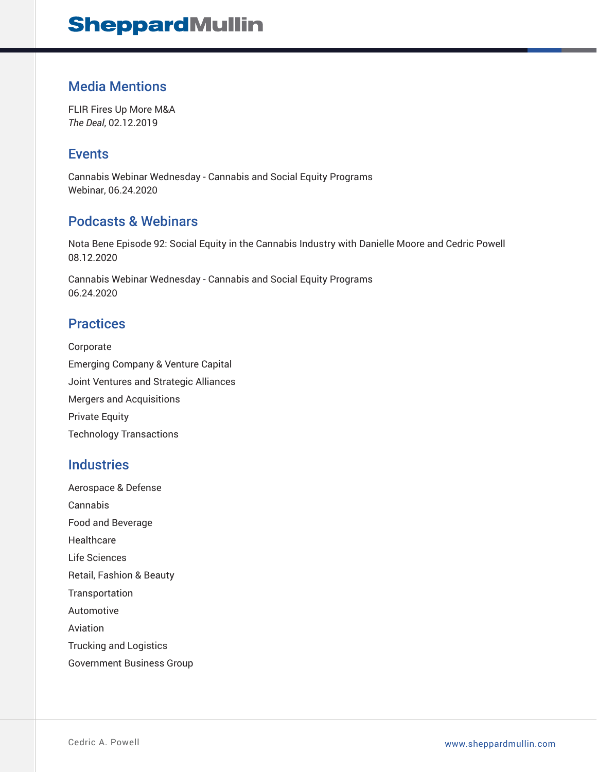### Media Mentions

FLIR Fires Up More M&A *The Deal*, 02.12.2019

#### Events

Cannabis Webinar Wednesday - Cannabis and Social Equity Programs Webinar, 06.24.2020

### Podcasts & Webinars

Nota Bene Episode 92: Social Equity in the Cannabis Industry with Danielle Moore and Cedric Powell 08.12.2020

Cannabis Webinar Wednesday - Cannabis and Social Equity Programs 06.24.2020

#### **Practices**

Corporate Emerging Company & Venture Capital Joint Ventures and Strategic Alliances Mergers and Acquisitions Private Equity Technology Transactions

#### **Industries**

Aerospace & Defense Cannabis Food and Beverage **Healthcare** Life Sciences Retail, Fashion & Beauty Transportation Automotive Aviation Trucking and Logistics Government Business Group